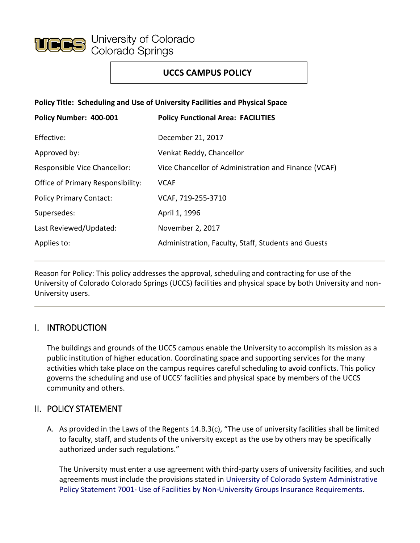

# **UCCS CAMPUS POLICY**

**Policy Title: Scheduling and Use of University Facilities and Physical Space**

| Policy Number: 400-001                   | <b>Policy Functional Area: FACILITIES</b>            |
|------------------------------------------|------------------------------------------------------|
| Effective:                               | December 21, 2017                                    |
| Approved by:                             | Venkat Reddy, Chancellor                             |
| Responsible Vice Chancellor:             | Vice Chancellor of Administration and Finance (VCAF) |
| <b>Office of Primary Responsibility:</b> | <b>VCAF</b>                                          |
| <b>Policy Primary Contact:</b>           | VCAF, 719-255-3710                                   |
| Supersedes:                              | April 1, 1996                                        |
| Last Reviewed/Updated:                   | November 2, 2017                                     |
| Applies to:                              | Administration, Faculty, Staff, Students and Guests  |

Reason for Policy: This policy addresses the approval, scheduling and contracting for use of the University of Colorado Colorado Springs (UCCS) facilities and physical space by both University and non-University users.

## I. INTRODUCTION

The buildings and grounds of the UCCS campus enable the University to accomplish its mission as a public institution of higher education. Coordinating space and supporting services for the many activities which take place on the campus requires careful scheduling to avoid conflicts. This policy governs the scheduling and use of UCCS' facilities and physical space by members of the UCCS community and others.

## II. POLICY STATEMENT

A. As provided in the Laws of the Regents 14.B.3(c), "The use of university facilities shall be limited to faculty, staff, and students of the university except as the use by others may be specifically authorized under such regulations."

The University must enter a use agreement with third-party users of university facilities, and such agreements must include the provisions stated in [University of Colorado System Administrative](https://www.cu.edu/ope/aps/7001) Policy Statement 7001- [Use of Facilities by Non-University Groups Insurance Requirements.](https://www.cu.edu/ope/aps/7001)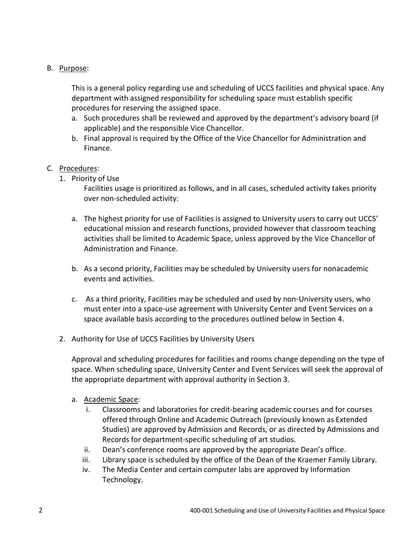### B. Purpose:

This is a general policy regarding use and scheduling of UCCS facilities and physical space. Any department with assigned responsibility for scheduling space must establish specific procedures for reserving the assigned space.

- a. Such procedures shall be reviewed and approved by the department's advisory board (if applicable) and the responsible Vice Chancellor.
- b. Final approval is required by the Office of the Vice Chancellor for Administration and Finance.

### C. Procedures:

1. Priority of Use

Facilities usage is prioritized as follows, and in all cases, scheduled activity takes priority over non-scheduled activity:

- a. The highest priority for use of Facilities is assigned to University users to carry out UCCS' educational mission and research functions, provided however that classroom teaching activities shall be limited to Academic Space, unless approved by the Vice Chancellor of Administration and Finance.
- b. As a second priority, Facilities may be scheduled by University users for nonacademic events and activities.
- c. As a third priority, Facilities may be scheduled and used by non-University users, who must enter into a space-use agreement with University Center and Event Services on a space available basis according to the procedures outlined below in Section 4.
- 2. Authority for Use of UCCS Facilities by University Users

Approval and scheduling procedures for facilities and rooms change depending on the type of space. When scheduling space, University Center and Event Services will seek the approval of the appropriate department with approval authority in Section 3.

- a. Academic Space:
	- i. Classrooms and laboratories for credit-bearing academic courses and for courses offered through Online and Academic Outreach (previously known as Extended Studies) are approved by Admission and Records, or as directed by Admissions and Records for department-specific scheduling of art studios.
	- ii. Dean's conference rooms are approved by the appropriate Dean's office.
	- iii. Library space is scheduled by the office of the Dean of the Kraemer Family Library.
	- iv. The Media Center and certain computer labs are approved by Information Technology.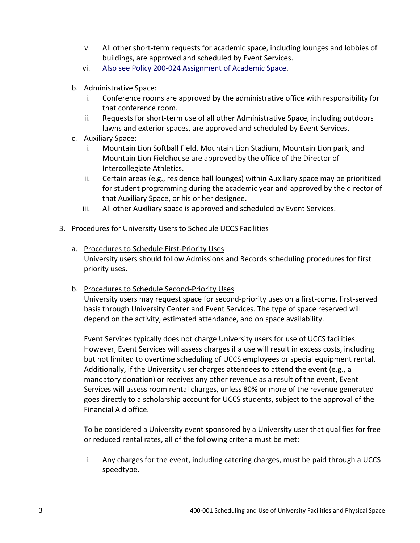- v. All other short-term requests for academic space, including lounges and lobbies of buildings, are approved and scheduled by Event Services.
- vi. [Also see Policy 200-024 Assignment of Academic Space.](https://www.uccs.edu/vcaf/policies/uccs/policies.html)
- b. Administrative Space:
	- i. Conference rooms are approved by the administrative office with responsibility for that conference room.
	- ii. Requests for short-term use of all other Administrative Space, including outdoors lawns and exterior spaces, are approved and scheduled by Event Services.
- c. Auxiliary Space:
	- i. Mountain Lion Softball Field, Mountain Lion Stadium, Mountain Lion park, and Mountain Lion Fieldhouse are approved by the office of the Director of Intercollegiate Athletics.
	- ii. Certain areas (e.g., residence hall lounges) within Auxiliary space may be prioritized for student programming during the academic year and approved by the director of that Auxiliary Space, or his or her designee.
	- iii. All other Auxiliary space is approved and scheduled by Event Services.
- 3. Procedures for University Users to Schedule UCCS Facilities
	- a. Procedures to Schedule First-Priority Uses University users should follow Admissions and Records scheduling procedures for first priority uses.
	- b. Procedures to Schedule Second-Priority Uses

University users may request space for second-priority uses on a first-come, first-served basis through University Center and Event Services. The type of space reserved will depend on the activity, estimated attendance, and on space availability.

Event Services typically does not charge University users for use of UCCS facilities. However, Event Services will assess charges if a use will result in excess costs, including but not limited to overtime scheduling of UCCS employees or special equipment rental. Additionally, if the University user charges attendees to attend the event (e.g., a mandatory donation) or receives any other revenue as a result of the event, Event Services will assess room rental charges, unless 80% or more of the revenue generated goes directly to a scholarship account for UCCS students, subject to the approval of the Financial Aid office.

To be considered a University event sponsored by a University user that qualifies for free or reduced rental rates, all of the following criteria must be met:

i. Any charges for the event, including catering charges, must be paid through a UCCS speedtype.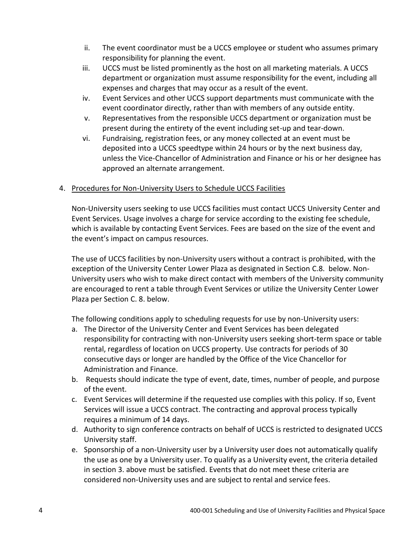- ii. The event coordinator must be a UCCS employee or student who assumes primary responsibility for planning the event.
- iii. UCCS must be listed prominently as the host on all marketing materials. A UCCS department or organization must assume responsibility for the event, including all expenses and charges that may occur as a result of the event.
- iv. Event Services and other UCCS support departments must communicate with the event coordinator directly, rather than with members of any outside entity.
- v. Representatives from the responsible UCCS department or organization must be present during the entirety of the event including set-up and tear-down.
- vi. Fundraising, registration fees, or any money collected at an event must be deposited into a UCCS speedtype within 24 hours or by the next business day, unless the Vice-Chancellor of Administration and Finance or his or her designee has approved an alternate arrangement.

### 4. Procedures for Non-University Users to Schedule UCCS Facilities

Non-University users seeking to use UCCS facilities must contact UCCS University Center and Event Services. Usage involves a charge for service according to the existing fee schedule, which is available by contacting Event Services. Fees are based on the size of the event and the event's impact on campus resources.

The use of UCCS facilities by non-University users without a contract is prohibited, with the exception of the University Center Lower Plaza as designated in Section C.8. below. Non-University users who wish to make direct contact with members of the University community are encouraged to rent a table through Event Services or utilize the University Center Lower Plaza per Section C. 8. below.

The following conditions apply to scheduling requests for use by non-University users:

- a. The Director of the University Center and Event Services has been delegated responsibility for contracting with non-University users seeking short-term space or table rental, regardless of location on UCCS property. Use contracts for periods of 30 consecutive days or longer are handled by the Office of the Vice Chancellor for Administration and Finance.
- b. Requests should indicate the type of event, date, times, number of people, and purpose of the event.
- c. Event Services will determine if the requested use complies with this policy. If so, Event Services will issue a UCCS contract. The contracting and approval process typically requires a minimum of 14 days.
- d. Authority to sign conference contracts on behalf of UCCS is restricted to designated UCCS University staff.
- e. Sponsorship of a non-University user by a University user does not automatically qualify the use as one by a University user. To qualify as a University event, the criteria detailed in section 3. above must be satisfied. Events that do not meet these criteria are considered non-University uses and are subject to rental and service fees.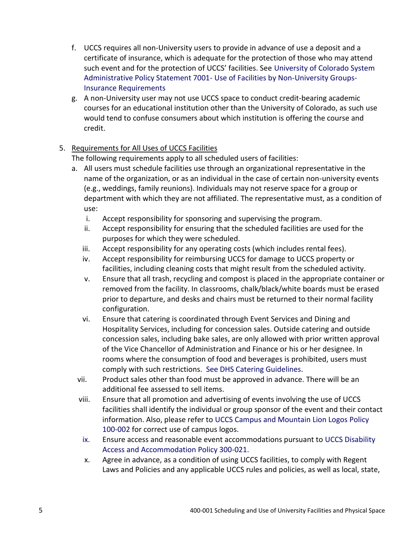- f. UCCS requires all non-University users to provide in advance of use a deposit and a certificate of insurance, which is adequate for the protection of those who may attend such event and for the protection of UCCS' facilities. See [University of Colorado System](https://www.cu.edu/ope/efficiency-and-effectiveness/presidents-task-force-efficiency/aps-7001-facilities-use-non)  Administrative Policy Statement 7001- [Use of Facilities by Non-University Groups-](https://www.cu.edu/ope/efficiency-and-effectiveness/presidents-task-force-efficiency/aps-7001-facilities-use-non)[Insurance Requirements](https://www.cu.edu/ope/efficiency-and-effectiveness/presidents-task-force-efficiency/aps-7001-facilities-use-non)
- g. A non-University user may not use UCCS space to conduct credit-bearing academic courses for an educational institution other than the University of Colorado, as such use would tend to confuse consumers about which institution is offering the course and credit.

## 5. Requirements for All Uses of UCCS Facilities

The following requirements apply to all scheduled users of facilities:

- a. All users must schedule facilities use through an organizational representative in the name of the organization, or as an individual in the case of certain non-university events (e.g., weddings, family reunions). Individuals may not reserve space for a group or department with which they are not affiliated. The representative must, as a condition of use:
	- i. Accept responsibility for sponsoring and supervising the program.
	- ii. Accept responsibility for ensuring that the scheduled facilities are used for the purposes for which they were scheduled.
	- iii. Accept responsibility for any operating costs (which includes rental fees).
	- iv. Accept responsibility for reimbursing UCCS for damage to UCCS property or facilities, including cleaning costs that might result from the scheduled activity.
	- v. Ensure that all trash, recycling and compost is placed in the appropriate container or removed from the facility. In classrooms, chalk/black/white boards must be erased prior to departure, and desks and chairs must be returned to their normal facility configuration.
	- vi. Ensure that catering is coordinated through Event Services and Dining and Hospitality Services, including for concession sales. Outside catering and outside concession sales, including bake sales, are only allowed with prior written approval of the Vice Chancellor of Administration and Finance or his or her designee. In rooms where the consumption of food and beverages is prohibited, users must comply with such restrictions. [See DHS Catering Guidelines.](https://www.uccs.edu/diningservices/catering.html)
	- vii. Product sales other than food must be approved in advance. There will be an additional fee assessed to sell items.
	- viii. Ensure that all promotion and advertising of events involving the use of UCCS facilities shall identify the individual or group sponsor of the event and their contact information. Also, please refer to [UCCS Campus and Mountain Lion Logos Policy](https://www.uccs.edu/vcaf/policies/uccs/policies)  [100-002](https://www.uccs.edu/vcaf/policies/uccs/policies) for correct use of campus logos.
	- ix. Ensure access and reasonable event accommodations pursuant to [UCCS Disability](https://www.uccs.edu/vcaf/policies/uccs/policies)  [Access and Accommodation Policy 300-021.](https://www.uccs.edu/vcaf/policies/uccs/policies)
	- x. Agree in advance, as a condition of using UCCS facilities, to comply with Regent Laws and Policies and any applicable UCCS rules and policies, as well as local, state,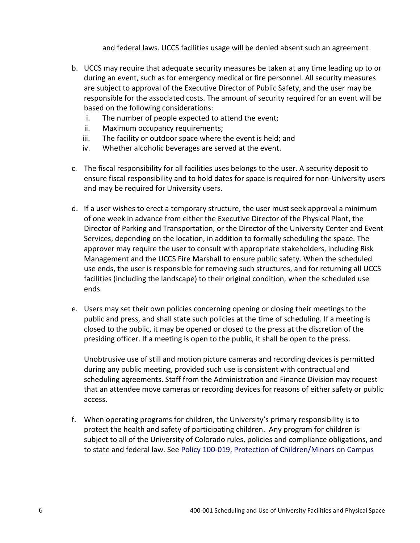and federal laws. UCCS facilities usage will be denied absent such an agreement.

- b. UCCS may require that adequate security measures be taken at any time leading up to or during an event, such as for emergency medical or fire personnel. All security measures are subject to approval of the Executive Director of Public Safety, and the user may be responsible for the associated costs. The amount of security required for an event will be based on the following considerations:
	- i. The number of people expected to attend the event;
	- ii. Maximum occupancy requirements;
	- iii. The facility or outdoor space where the event is held; and
	- iv. Whether alcoholic beverages are served at the event.
- c. The fiscal responsibility for all facilities uses belongs to the user. A security deposit to ensure fiscal responsibility and to hold dates for space is required for non-University users and may be required for University users.
- d. If a user wishes to erect a temporary structure, the user must seek approval a minimum of one week in advance from either the Executive Director of the Physical Plant, the Director of Parking and Transportation, or the Director of the University Center and Event Services, depending on the location, in addition to formally scheduling the space. The approver may require the user to consult with appropriate stakeholders, including Risk Management and the UCCS Fire Marshall to ensure public safety. When the scheduled use ends, the user is responsible for removing such structures, and for returning all UCCS facilities (including the landscape) to their original condition, when the scheduled use ends.
- e. Users may set their own policies concerning opening or closing their meetings to the public and press, and shall state such policies at the time of scheduling. If a meeting is closed to the public, it may be opened or closed to the press at the discretion of the presiding officer. If a meeting is open to the public, it shall be open to the press.

Unobtrusive use of still and motion picture cameras and recording devices is permitted during any public meeting, provided such use is consistent with contractual and scheduling agreements. Staff from the Administration and Finance Division may request that an attendee move cameras or recording devices for reasons of either safety or public access.

f. When operating programs for children, the University's primary responsibility is to protect the health and safety of participating children. Any program for children is subject to all of the University of Colorado rules, policies and compliance obligations, and to state and federal law. See Policy 100-019, Protection [of Children/Minors on Campus](https://www.uccs.edu/vcaf/policies/uccs/policies)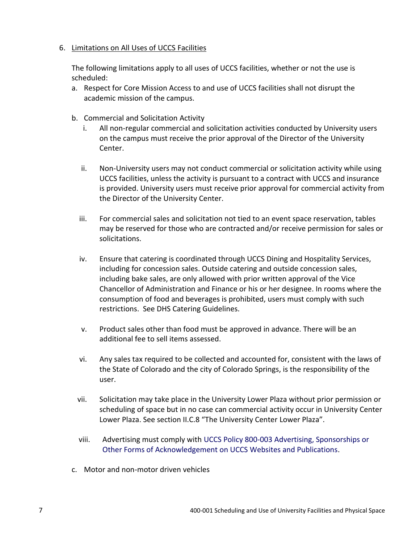#### 6. Limitations on All Uses of UCCS Facilities

The following limitations apply to all uses of UCCS facilities, whether or not the use is scheduled:

- a. Respect for Core Mission Access to and use of UCCS facilities shall not disrupt the academic mission of the campus.
- b. Commercial and Solicitation Activity
	- i. All non-regular commercial and solicitation activities conducted by University users on the campus must receive the prior approval of the Director of the University Center.
	- ii. Non-University users may not conduct commercial or solicitation activity while using UCCS facilities, unless the activity is pursuant to a contract with UCCS and insurance is provided. University users must receive prior approval for commercial activity from the Director of the University Center.
	- iii. For commercial sales and solicitation not tied to an event space reservation, tables may be reserved for those who are contracted and/or receive permission for sales or solicitations.
	- iv. Ensure that catering is coordinated through UCCS Dining and Hospitality Services, including for concession sales. Outside catering and outside concession sales, including bake sales, are only allowed with prior written approval of the Vice Chancellor of Administration and Finance or his or her designee. In rooms where the consumption of food and beverages is prohibited, users must comply with such restrictions. See DHS Catering Guidelines.
	- v. Product sales other than food must be approved in advance. There will be an additional fee to sell items assessed.
	- vi. Any sales tax required to be collected and accounted for, consistent with the laws of the State of Colorado and the city of Colorado Springs, is the responsibility of the user.
	- vii. Solicitation may take place in the University Lower Plaza without prior permission or scheduling of space but in no case can commercial activity occur in University Center Lower Plaza. See section II.C.8 "The University Center Lower Plaza".
	- viii. Advertising must comply with [UCCS Policy 800-003 Advertising, Sponsorships or](https://www.uccs.edu/vcaf/policies/uccs/policies)  [Other Forms of Acknowledgement on UCCS Websites and Publications.](https://www.uccs.edu/vcaf/policies/uccs/policies)
- c. Motor and non-motor driven vehicles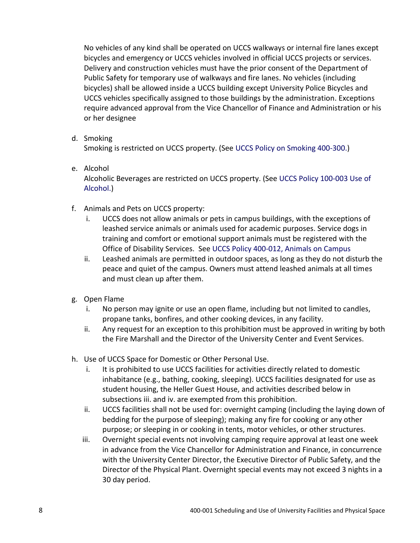No vehicles of any kind shall be operated on UCCS walkways or internal fire lanes except bicycles and emergency or UCCS vehicles involved in official UCCS projects or services. Delivery and construction vehicles must have the prior consent of the Department of Public Safety for temporary use of walkways and fire lanes. No vehicles (including bicycles) shall be allowed inside a UCCS building except University Police Bicycles and UCCS vehicles specifically assigned to those buildings by the administration. Exceptions require advanced approval from the Vice Chancellor of Finance and Administration or his or her designee

d. Smoking

Smoking is restricted on UCCS property. (See [UCCS Policy on Smoking 400-300.\)](https://www.uccs.edu/vcaf/policies/uccs/policies)

e. Alcohol

Alcoholic Beverages are restricted on UCCS property. (See [UCCS Policy 100-003 Use of](https://www.uccs.edu/vcaf/policies/uccs/policies)  [Alcohol.\)](https://www.uccs.edu/vcaf/policies/uccs/policies)

- f. Animals and Pets on UCCS property:
	- i. UCCS does not allow animals or pets in campus buildings, with the exceptions of leashed service animals or animals used for academic purposes. Service dogs in training and comfort or emotional support animals must be registered with the Office of Disability Services. See [UCCS Policy 400-012, Animals on Campus](https://www.uccs.edu/vcaf/policies/uccs/policies.html)
	- ii. Leashed animals are permitted in outdoor spaces, as long as they do not disturb the peace and quiet of the campus. Owners must attend leashed animals at all times and must clean up after them.
- g. Open Flame
	- i. No person may ignite or use an open flame, including but not limited to candles, propane tanks, bonfires, and other cooking devices, in any facility.
	- ii. Any request for an exception to this prohibition must be approved in writing by both the Fire Marshall and the Director of the University Center and Event Services.
- h. Use of UCCS Space for Domestic or Other Personal Use.
	- i. It is prohibited to use UCCS facilities for activities directly related to domestic inhabitance (e.g., bathing, cooking, sleeping). UCCS facilities designated for use as student housing, the Heller Guest House, and activities described below in subsections iii. and iv. are exempted from this prohibition.
	- ii. UCCS facilities shall not be used for: overnight camping (including the laying down of bedding for the purpose of sleeping); making any fire for cooking or any other purpose; or sleeping in or cooking in tents, motor vehicles, or other structures.
	- iii. Overnight special events not involving camping require approval at least one week in advance from the Vice Chancellor for Administration and Finance, in concurrence with the University Center Director, the Executive Director of Public Safety, and the Director of the Physical Plant. Overnight special events may not exceed 3 nights in a 30 day period.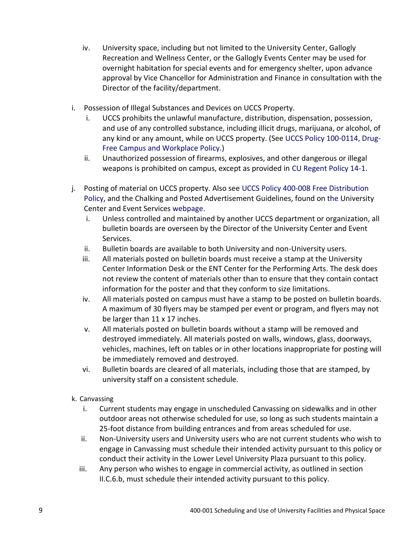- iv. University space, including but not limited to the University Center, Gallogly Recreation and Wellness Center, or the Gallogly Events Center may be used for overnight habitation for special events and for emergency shelter, upon advance approval by Vice Chancellor for Administration and Finance in consultation with the Director of the facility/department.
- i. Possession of Illegal Substances and Devices on UCCS Property.
	- i. UCCS prohibits the unlawful manufacture, distribution, dispensation, possession, and use of any controlled substance, including illicit drugs, marijuana, or alcohol, of any kind or any amount, while on UCCS property. (Se[e UCCS Policy 100-0114, Drug-](https://www.uccs.edu/vcaf/policies/uccs/policies)[Free Campus and Workplace Policy.](https://www.uccs.edu/vcaf/policies/uccs/policies))
	- ii. Unauthorized possession of firearms, explosives, and other dangerous or illegal weapons is prohibited on campus, except as provided in [CU Regent Policy 14-1.](https://www.cu.edu/regents/policy-14i-weapons-control)
- j. Posting of material on UCCS property. Also see [UCCS Policy 400-008 Free Distribution](https://www.uccs.edu/vcaf/policies/uccs/policies)  [Policy,](https://www.uccs.edu/vcaf/policies/uccs/policies) and the Chalking and Posted Advertisement Guidelines, found on [the](https://www.uccs.edu/uc) University Center and Event Services [webpage.](https://www.uccs.edu/uc/)
	- i. Unless controlled and maintained by another UCCS department or organization, all bulletin boards are overseen by the Director of the University Center and Event Services.
	- ii. Bulletin boards are available to both University and non-University users.
	- iii. All materials posted on bulletin boards must receive a stamp at the University Center Information Desk or the ENT Center for the Performing Arts. The desk does not review the content of materials other than to ensure that they contain contact information for the poster and that they conform to size limitations.
	- iv. All materials posted on campus must have a stamp to be posted on bulletin boards. A maximum of 30 flyers may be stamped per event or program, and flyers may not be larger than 11 x 17 inches.
	- v. All materials posted on bulletin boards without a stamp will be removed and destroyed immediately. All materials posted on walls, windows, glass, doorways, vehicles, machines, left on tables or in other locations inappropriate for posting will be immediately removed and destroyed.
	- vi. Bulletin boards are cleared of all materials, including those that are stamped, by university staff on a consistent schedule.
- k. Canvassing
	- i. Current students may engage in unscheduled Canvassing on sidewalks and in other outdoor areas not otherwise scheduled for use, so long as such students maintain a 25-foot distance from building entrances and from areas scheduled for use.
	- ii. Non-University users and University users who are not current students who wish to engage in Canvassing must schedule their intended activity pursuant to this policy or conduct their activity in the Lower Level University Plaza pursuant to this policy.
	- iii. Any person who wishes to engage in commercial activity, as outlined in section II.C.6.b, must schedule their intended activity pursuant to this policy.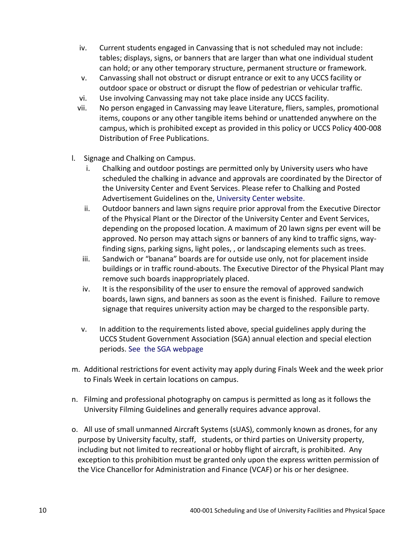- iv. Current students engaged in Canvassing that is not scheduled may not include: tables; displays, signs, or banners that are larger than what one individual student can hold; or any other temporary structure, permanent structure or framework.
- v. Canvassing shall not obstruct or disrupt entrance or exit to any UCCS facility or outdoor space or obstruct or disrupt the flow of pedestrian or vehicular traffic.
- vi. Use involving Canvassing may not take place inside any UCCS facility.
- vii. No person engaged in Canvassing may leave Literature, fliers, samples, promotional items, coupons or any other tangible items behind or unattended anywhere on the campus, which is prohibited except as provided in this policy or UCCS Policy 400-008 Distribution of Free Publications.
- l. Signage and Chalking on Campus.
	- i. Chalking and outdoor postings are permitted only by University users who have scheduled the chalking in advance and approvals are coordinated by the Director of the University Center and Event Services. Please refer to Chalking and Posted Advertisement Guidelines on the, [University Center website.](https://www.uccs.edu/uc/)
	- ii. Outdoor banners and lawn signs require prior approval from the Executive Director of the Physical Plant or the Director of the University Center and Event Services, depending on the proposed location. A maximum of 20 lawn signs per event will be approved. No person may attach signs or banners of any kind to traffic signs, wayfinding signs, parking signs, light poles, , or landscaping elements such as trees.
	- iii. Sandwich or "banana" boards are for outside use only, not for placement inside buildings or in traffic round-abouts. The Executive Director of the Physical Plant may remove such boards inappropriately placed.
	- iv. It is the responsibility of the user to ensure the removal of approved sandwich boards, lawn signs, and banners as soon as the event is finished. Failure to remove signage that requires university action may be charged to the responsible party.
	- v. In addition to the requirements listed above, special guidelines apply during the UCCS Student Government Association (SGA) annual election and special election periods. [See](file://///excelsior/ue$/eboling2/VCAF%20Erin/See%20https:/orgsync.com/69883/files/602657/show) [the SGA webpage](http://sll.uccs.edu/org/sga)
- m. Additional restrictions for event activity may apply during Finals Week and the week prior to Finals Week in certain locations on campus.
- n. Filming and professional photography on campus is permitted as long as it follows the University Filming Guidelines and generally requires advance approval.
- o. All use of small unmanned Aircraft Systems (sUAS), commonly known as drones, for any purpose by University faculty, staff, students, or third parties on University property, including but not limited to recreational or hobby flight of aircraft, is prohibited. Any exception to this prohibition must be granted only upon the express written permission of the Vice Chancellor for Administration and Finance (VCAF) or his or her designee.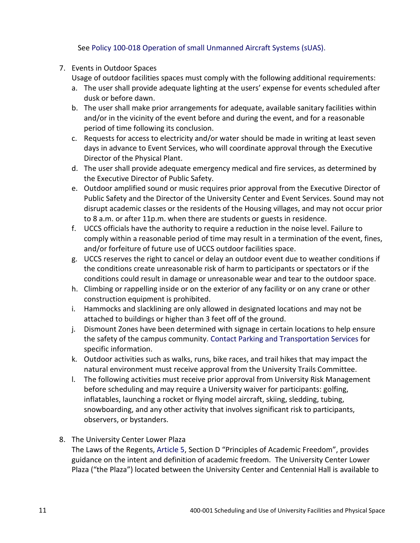See [Policy 100-018 Operation of small Unmanned Aircraft Systems \(sUAS\).](https://www.uccs.edu/vcaf/policies/uccs/policies.html)

7. Events in Outdoor Spaces

Usage of outdoor facilities spaces must comply with the following additional requirements:

- a. The user shall provide adequate lighting at the users' expense for events scheduled after dusk or before dawn.
- b. The user shall make prior arrangements for adequate, available sanitary facilities within and/or in the vicinity of the event before and during the event, and for a reasonable period of time following its conclusion.
- c. Requests for access to electricity and/or water should be made in writing at least seven days in advance to Event Services, who will coordinate approval through the Executive Director of the Physical Plant.
- d. The user shall provide adequate emergency medical and fire services, as determined by the Executive Director of Public Safety.
- e. Outdoor amplified sound or music requires prior approval from the Executive Director of Public Safety and the Director of the University Center and Event Services. Sound may not disrupt academic classes or the residents of the Housing villages, and may not occur prior to 8 a.m. or after 11p.m. when there are students or guests in residence.
- f. UCCS officials have the authority to require a reduction in the noise level. Failure to comply within a reasonable period of time may result in a termination of the event, fines, and/or forfeiture of future use of UCCS outdoor facilities space.
- g. UCCS reserves the right to cancel or delay an outdoor event due to weather conditions if the conditions create unreasonable risk of harm to participants or spectators or if the conditions could result in damage or unreasonable wear and tear to the outdoor space.
- h. Climbing or rappelling inside or on the exterior of any facility or on any crane or other construction equipment is prohibited.
- i. Hammocks and slacklining are only allowed in designated locations and may not be attached to buildings or higher than 3 feet off of the ground.
- j. Dismount Zones have been determined with signage in certain locations to help ensure the safety of the campus community. [Contact Parking and Transportation Services](https://www.uccs.edu/pts/parking) for specific information.
- k. Outdoor activities such as walks, runs, bike races, and trail hikes that may impact the natural environment must receive approval from the University Trails Committee.
- l. The following activities must receive prior approval from University Risk Management before scheduling and may require a University waiver for participants: golfing, inflatables, launching a rocket or flying model aircraft, skiing, sledding, tubing, snowboarding, and any other activity that involves significant risk to participants, observers, or bystanders.
- 8. The University Center Lower Plaza

The Laws of the Regents[, Article 5,](https://www.cu.edu/regents/laws-and-policies/regent-laws/article-5-faculty) Section D "Principles of Academic Freedom", provides guidance on the intent and definition of academic freedom. The University Center Lower Plaza ("the Plaza") located between the University Center and Centennial Hall is available to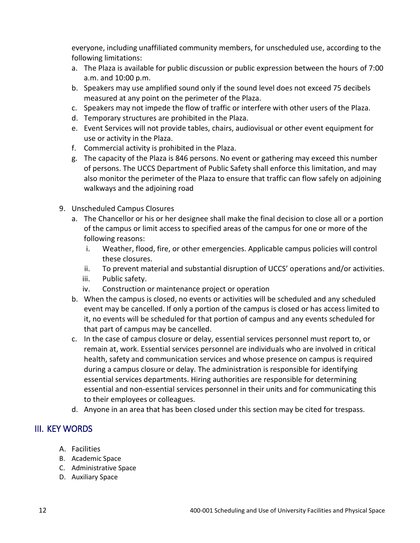everyone, including unaffiliated community members, for unscheduled use, according to the following limitations:

- a. The Plaza is available for public discussion or public expression between the hours of 7:00 a.m. and 10:00 p.m.
- b. Speakers may use amplified sound only if the sound level does not exceed 75 decibels measured at any point on the perimeter of the Plaza.
- c. Speakers may not impede the flow of traffic or interfere with other users of the Plaza.
- d. Temporary structures are prohibited in the Plaza.
- e. Event Services will not provide tables, chairs, audiovisual or other event equipment for use or activity in the Plaza.
- f. Commercial activity is prohibited in the Plaza.
- g. The capacity of the Plaza is 846 persons. No event or gathering may exceed this number of persons. The UCCS Department of Public Safety shall enforce this limitation, and may also monitor the perimeter of the Plaza to ensure that traffic can flow safely on adjoining walkways and the adjoining road
- 9. Unscheduled Campus Closures
	- a. The Chancellor or his or her designee shall make the final decision to close all or a portion of the campus or limit access to specified areas of the campus for one or more of the following reasons:
		- i. Weather, flood, fire, or other emergencies. Applicable campus policies will control these closures.
		- ii. To prevent material and substantial disruption of UCCS' operations and/or activities.
		- iii. Public safety.
		- iv. Construction or maintenance project or operation
	- b. When the campus is closed, no events or activities will be scheduled and any scheduled event may be cancelled. If only a portion of the campus is closed or has access limited to it, no events will be scheduled for that portion of campus and any events scheduled for that part of campus may be cancelled.
	- c. In the case of campus closure or delay, essential services personnel must report to, or remain at, work. Essential services personnel are individuals who are involved in critical health, safety and communication services and whose presence on campus is required during a campus closure or delay. The administration is responsible for identifying essential services departments. Hiring authorities are responsible for determining essential and non-essential services personnel in their units and for communicating this to their employees or colleagues.
	- d. Anyone in an area that has been closed under this section may be cited for trespass.

# III. [KEY](http://www.uccs.edu/vcaf/policies/uccs/campus-policies-dictionary.html#_top) WORDS

- A. Facilities
- B. Academic Space
- C. Administrative Space
- D. Auxiliary Space